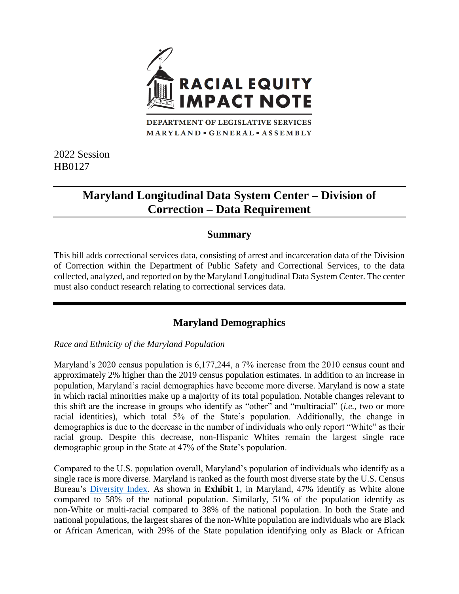

MARYLAND · GENERAL · ASSEMBLY

2022 Session HB0127

# **Maryland Longitudinal Data System Center – Division of Correction – Data Requirement**

#### **Summary**

This bill adds correctional services data, consisting of arrest and incarceration data of the Division of Correction within the Department of Public Safety and Correctional Services, to the data collected, analyzed, and reported on by the Maryland Longitudinal Data System Center. The center must also conduct research relating to correctional services data.

## **Maryland Demographics**

*Race and Ethnicity of the Maryland Population*

Maryland's 2020 census population is 6,177,244, a 7% increase from the 2010 census count and approximately 2% higher than the 2019 census population estimates. In addition to an increase in population, Maryland's racial demographics have become more diverse. Maryland is now a state in which racial minorities make up a majority of its total population. Notable changes relevant to this shift are the increase in groups who identify as "other" and "multiracial" (*i.e.*, two or more racial identities), which total 5% of the State's population. Additionally, the change in demographics is due to the decrease in the number of individuals who only report "White" as their racial group. Despite this decrease, non-Hispanic Whites remain the largest single race demographic group in the State at 47% of the State's population.

Compared to the U.S. population overall, Maryland's population of individuals who identify as a single race is more diverse. Maryland is ranked as the fourth most diverse state by the U.S. Census Bureau's [Diversity Index.](https://www.census.gov/library/visualizations/interactive/racial-and-ethnic-diversity-in-the-united-states-2010-and-2020-census.html) As shown in **Exhibit 1**, in Maryland, 47% identify as White alone compared to 58% of the national population. Similarly, 51% of the population identify as non-White or multi-racial compared to 38% of the national population. In both the State and national populations, the largest shares of the non-White population are individuals who are Black or African American, with 29% of the State population identifying only as Black or African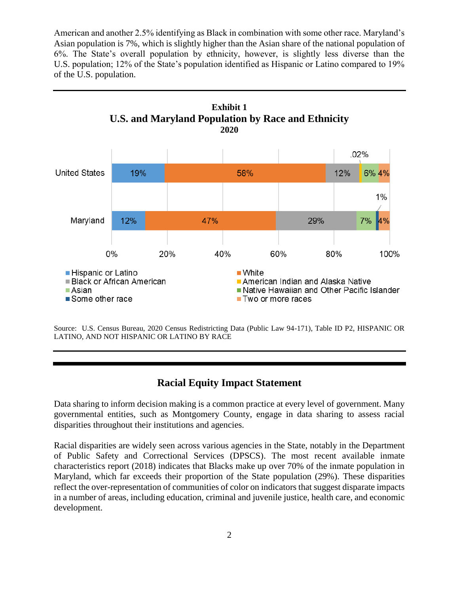American and another 2.5% identifying as Black in combination with some other race. Maryland's Asian population is 7%, which is slightly higher than the Asian share of the national population of 6%. The State's overall population by ethnicity, however, is slightly less diverse than the U.S. population; 12% of the State's population identified as Hispanic or Latino compared to 19% of the U.S. population.



Source: U.S. Census Bureau, 2020 Census Redistricting Data (Public Law 94-171), Table ID P2, HISPANIC OR LATINO, AND NOT HISPANIC OR LATINO BY RACE

#### **Racial Equity Impact Statement**

Data sharing to inform decision making is a common practice at every level of government. Many governmental entities, such as Montgomery County, engage in data sharing to assess racial disparities throughout their institutions and agencies.

Racial disparities are widely seen across various agencies in the State, notably in the Department of Public Safety and Correctional Services (DPSCS). The most recent available inmate characteristics report (2018) indicates that Blacks make up over 70% of the inmate population in Maryland, which far exceeds their proportion of the State population (29%). These disparities reflect the over-representation of communities of color on indicators that suggest disparate impacts in a number of areas, including education, criminal and juvenile justice, health care, and economic development.